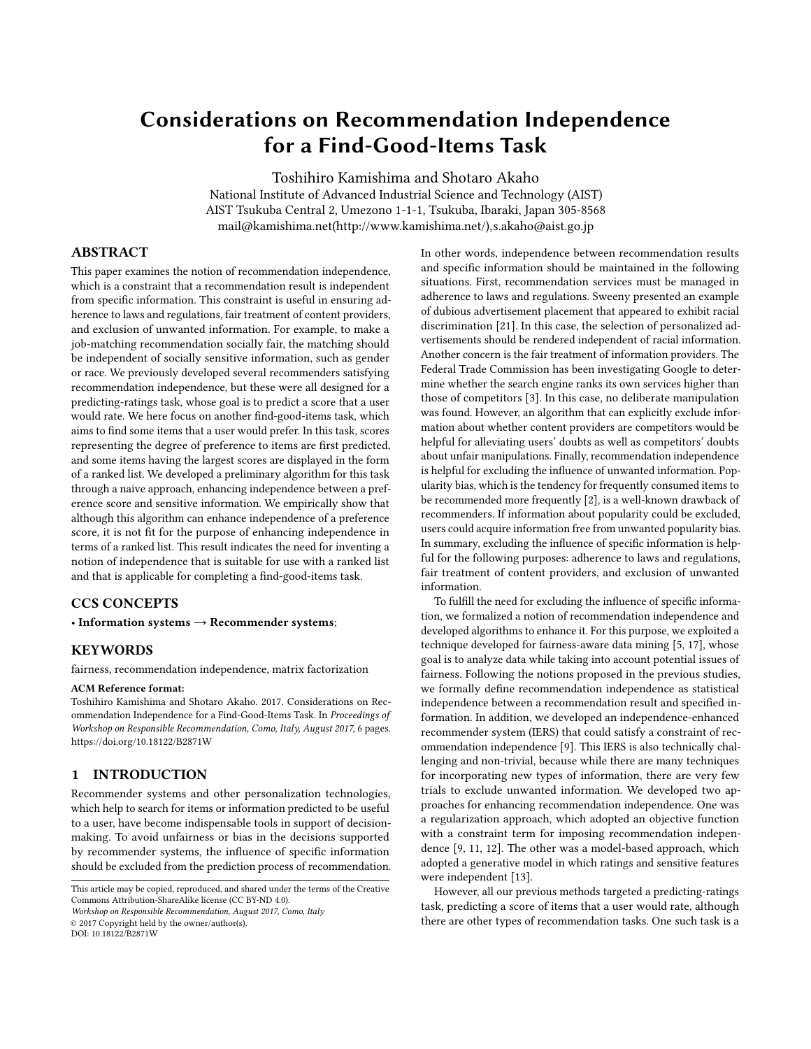# Considerations on Recommendation Independence for a Find-Good-Items Task

Toshihiro Kamishima and Shotaro Akaho National Institute of Advanced Industrial Science and Technology (AIST) AIST Tsukuba Central 2, Umezono 1-1-1, Tsukuba, Ibaraki, Japan 305-8568 mail@kamishima.net(http://www.kamishima.net/),s.akaho@aist.go.jp

# ABSTRACT

This paper examines the notion of recommendation independence, which is a constraint that a recommendation result is independent from specific information. This constraint is useful in ensuring adherence to laws and regulations, fair treatment of content providers, and exclusion of unwanted information. For example, to make a job-matching recommendation socially fair, the matching should be independent of socially sensitive information, such as gender or race. We previously developed several recommenders satisfying recommendation independence, but these were all designed for a predicting-ratings task, whose goal is to predict a score that a user would rate. We here focus on another find-good-items task, which aims to find some items that a user would prefer. In this task, scores representing the degree of preference to items are first predicted, and some items having the largest scores are displayed in the form of a ranked list. We developed a preliminary algorithm for this task through a naive approach, enhancing independence between a preference score and sensitive information. We empirically show that although this algorithm can enhance independence of a preference score, it is not fit for the purpose of enhancing independence in terms of a ranked list. This result indicates the need for inventing a notion of independence that is suitable for use with a ranked list and that is applicable for completing a find-good-items task.

# CCS CONCEPTS

• Information systems  $\rightarrow$  Recommender systems;

#### **KEYWORDS**

fairness, recommendation independence, matrix factorization

#### ACM Reference format:

Toshihiro Kamishima and Shotaro Akaho. 2017. Considerations on Recommendation Independence for a Find-Good-Items Task. In Proceedings of Workshop on Responsible Recommendation, Como, Italy, August 2017, [6](#page-5-0) pages. <https://doi.org/10.18122/B2871W>

# <span id="page-0-0"></span>1 INTRODUCTION

Recommender systems and other personalization technologies, which help to search for items or information predicted to be useful to a user, have become indispensable tools in support of decisionmaking. To avoid unfairness or bias in the decisions supported by recommender systems, the influence of specific information should be excluded from the prediction process of recommendation.

This article may be copied, reproduced, and shared under the terms of the Creative Commons Attribution-ShareAlike license (CC BY-ND 4.0).

Workshop on Responsible Recommendation, August 2017, Como, Italy

© 2017 Copyright held by the owner/author(s).

DOI: 10.18122/B2871W

In other words, independence between recommendation results and specific information should be maintained in the following situations. First, recommendation services must be managed in adherence to laws and regulations. Sweeny presented an example of dubious advertisement placement that appeared to exhibit racial discrimination [\[21\]](#page-5-1). In this case, the selection of personalized advertisements should be rendered independent of racial information. Another concern is the fair treatment of information providers. The Federal Trade Commission has been investigating Google to determine whether the search engine ranks its own services higher than those of competitors [\[3\]](#page-5-2). In this case, no deliberate manipulation was found. However, an algorithm that can explicitly exclude information about whether content providers are competitors would be helpful for alleviating users' doubts as well as competitors' doubts about unfair manipulations. Finally, recommendation independence is helpful for excluding the influence of unwanted information. Popularity bias, which is the tendency for frequently consumed items to be recommended more frequently [\[2\]](#page-5-3), is a well-known drawback of recommenders. If information about popularity could be excluded, users could acquire information free from unwanted popularity bias. In summary, excluding the influence of specific information is helpful for the following purposes: adherence to laws and regulations, fair treatment of content providers, and exclusion of unwanted information.

To fulfill the need for excluding the influence of specific information, we formalized a notion of recommendation independence and developed algorithms to enhance it. For this purpose, we exploited a technique developed for fairness-aware data mining [\[5,](#page-5-4) [17\]](#page-5-5), whose goal is to analyze data while taking into account potential issues of fairness. Following the notions proposed in the previous studies, we formally define recommendation independence as statistical independence between a recommendation result and specified information. In addition, we developed an independence-enhanced recommender system (IERS) that could satisfy a constraint of recommendation independence [\[9\]](#page-5-6). This IERS is also technically challenging and non-trivial, because while there are many techniques for incorporating new types of information, there are very few trials to exclude unwanted information. We developed two approaches for enhancing recommendation independence. One was a regularization approach, which adopted an objective function with a constraint term for imposing recommendation independence [\[9,](#page-5-6) [11,](#page-5-7) [12\]](#page-5-8). The other was a model-based approach, which adopted a generative model in which ratings and sensitive features were independent [\[13\]](#page-5-9).

However, all our previous methods targeted a predicting-ratings task, predicting a score of items that a user would rate, although there are other types of recommendation tasks. One such task is a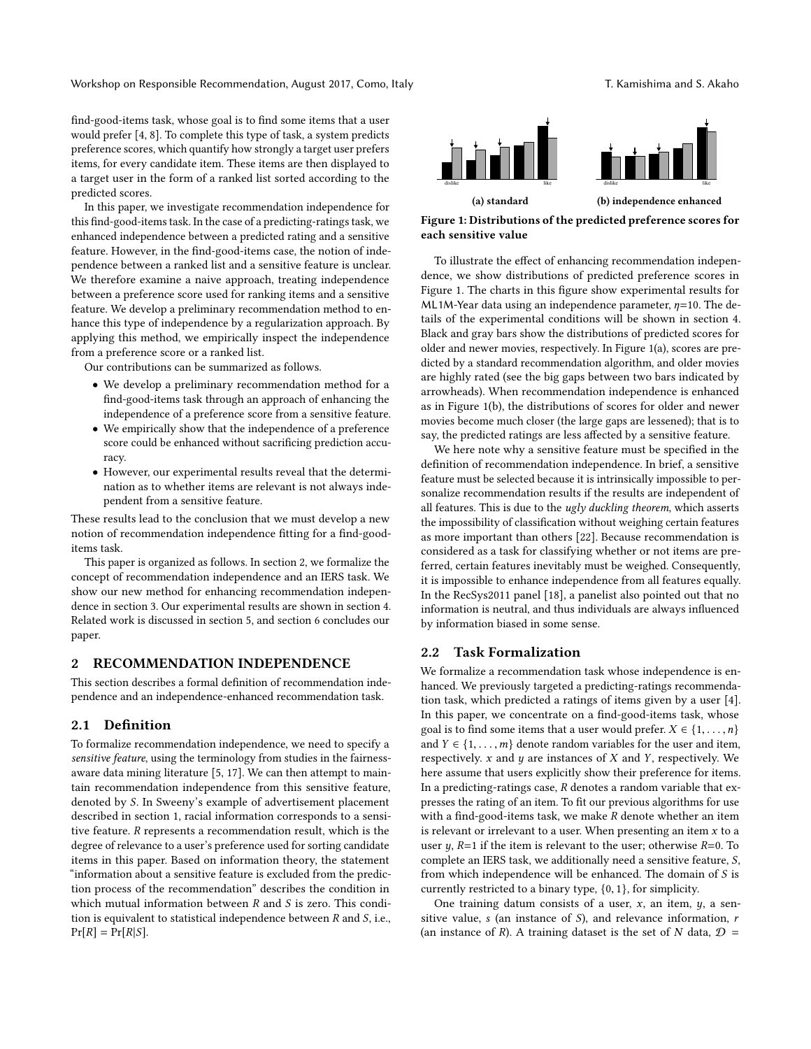Workshop on Responsible Recommendation, August 2017, Como, Italy The Manusculing and S. Akaho

find-good-items task, whose goal is to find some items that a user would prefer [\[4,](#page-5-10) [8\]](#page-5-11). To complete this type of task, a system predicts preference scores, which quantify how strongly a target user prefers items, for every candidate item. These items are then displayed to a target user in the form of a ranked list sorted according to the predicted scores.

In this paper, we investigate recommendation independence for this find-good-items task. In the case of a predicting-ratings task, we enhanced independence between a predicted rating and a sensitive feature. However, in the find-good-items case, the notion of independence between a ranked list and a sensitive feature is unclear. We therefore examine a naive approach, treating independence between a preference score used for ranking items and a sensitive feature. We develop a preliminary recommendation method to enhance this type of independence by a regularization approach. By applying this method, we empirically inspect the independence from a preference score or a ranked list.

Our contributions can be summarized as follows.

- We develop a preliminary recommendation method for a find-good-items task through an approach of enhancing the independence of a preference score from a sensitive feature.
- We empirically show that the independence of a preference score could be enhanced without sacrificing prediction accuracy.
- However, our experimental results reveal that the determination as to whether items are relevant is not always independent from a sensitive feature.

These results lead to the conclusion that we must develop a new notion of recommendation independence fitting for a find-gooditems task.

This paper is organized as follows. In section [2,](#page-1-0) we formalize the concept of recommendation independence and an IERS task. We show our new method for enhancing recommendation independence in section [3.](#page-2-0) Our experimental results are shown in section [4.](#page-2-1) Related work is discussed in section [5,](#page-5-12) and section [6](#page-5-13) concludes our paper.

# <span id="page-1-0"></span>2 RECOMMENDATION INDEPENDENCE

This section describes a formal definition of recommendation independence and an independence-enhanced recommendation task.

#### 2.1 Definition

To formalize recommendation independence, we need to specify a sensitive feature, using the terminology from studies in the fairnessaware data mining literature [\[5,](#page-5-4) [17\]](#page-5-5). We can then attempt to maintain recommendation independence from this sensitive feature, denoted by S. In Sweeny's example of advertisement placement described in section [1,](#page-0-0) racial information corresponds to a sensitive feature. R represents a recommendation result, which is the degree of relevance to a user's preference used for sorting candidate items in this paper. Based on information theory, the statement "information about a sensitive feature is excluded from the prediction process of the recommendation" describes the condition in which mutual information between  $R$  and  $S$  is zero. This condition is equivalent to statistical independence between  $R$  and  $S$ , i.e.,  $Pr[R] = Pr[R|S].$ 

<span id="page-1-1"></span>

Figure 1: Distributions of the predicted preference scores for each sensitive value

To illustrate the effect of enhancing recommendation independence, we show distributions of predicted preference scores in Figure [1.](#page-1-1) The charts in this figure show experimental results for ML1M-Year data using an independence parameter,  $\eta$ =10. The details of the experimental conditions will be shown in section [4.](#page-2-1) Black and gray bars show the distributions of predicted scores for older and newer movies, respectively. In Figure [1\(a\),](#page-1-1) scores are predicted by a standard recommendation algorithm, and older movies are highly rated (see the big gaps between two bars indicated by arrowheads). When recommendation independence is enhanced as in Figure [1\(b\),](#page-1-1) the distributions of scores for older and newer movies become much closer (the large gaps are lessened); that is to say, the predicted ratings are less affected by a sensitive feature.

We here note why a sensitive feature must be specified in the definition of recommendation independence. In brief, a sensitive feature must be selected because it is intrinsically impossible to personalize recommendation results if the results are independent of all features. This is due to the ugly duckling theorem, which asserts the impossibility of classification without weighing certain features as more important than others [\[22\]](#page-5-14). Because recommendation is considered as a task for classifying whether or not items are preferred, certain features inevitably must be weighed. Consequently, it is impossible to enhance independence from all features equally. In the RecSys2011 panel [\[18\]](#page-5-15), a panelist also pointed out that no information is neutral, and thus individuals are always influenced by information biased in some sense.

#### 2.2 Task Formalization

We formalize a recommendation task whose independence is enhanced. We previously targeted a predicting-ratings recommendation task, which predicted a ratings of items given by a user [\[4\]](#page-5-10). In this paper, we concentrate on a find-good-items task, whose goal is to find some items that a user would prefer.  $X \in \{1, \ldots, n\}$ and  $Y \in \{1, \ldots, m\}$  denote random variables for the user and item, respectively.  $x$  and  $y$  are instances of  $X$  and  $Y$ , respectively. We here assume that users explicitly show their preference for items. In a predicting-ratings case,  $R$  denotes a random variable that expresses the rating of an item. To fit our previous algorithms for use with a find-good-items task, we make  $R$  denote whether an item is relevant or irrelevant to a user. When presenting an item  $x$  to a user  $y$ ,  $R=1$  if the item is relevant to the user; otherwise  $R=0$ . To complete an IERS task, we additionally need a sensitive feature, S, from which independence will be enhanced. The domain of S is currently restricted to a binary type, {0, <sup>1</sup>}, for simplicity.

One training datum consists of a user,  $x$ , an item,  $y$ , a sensitive value,  $s$  (an instance of  $S$ ), and relevance information,  $r$ (an instance of R). A training dataset is the set of N data,  $D =$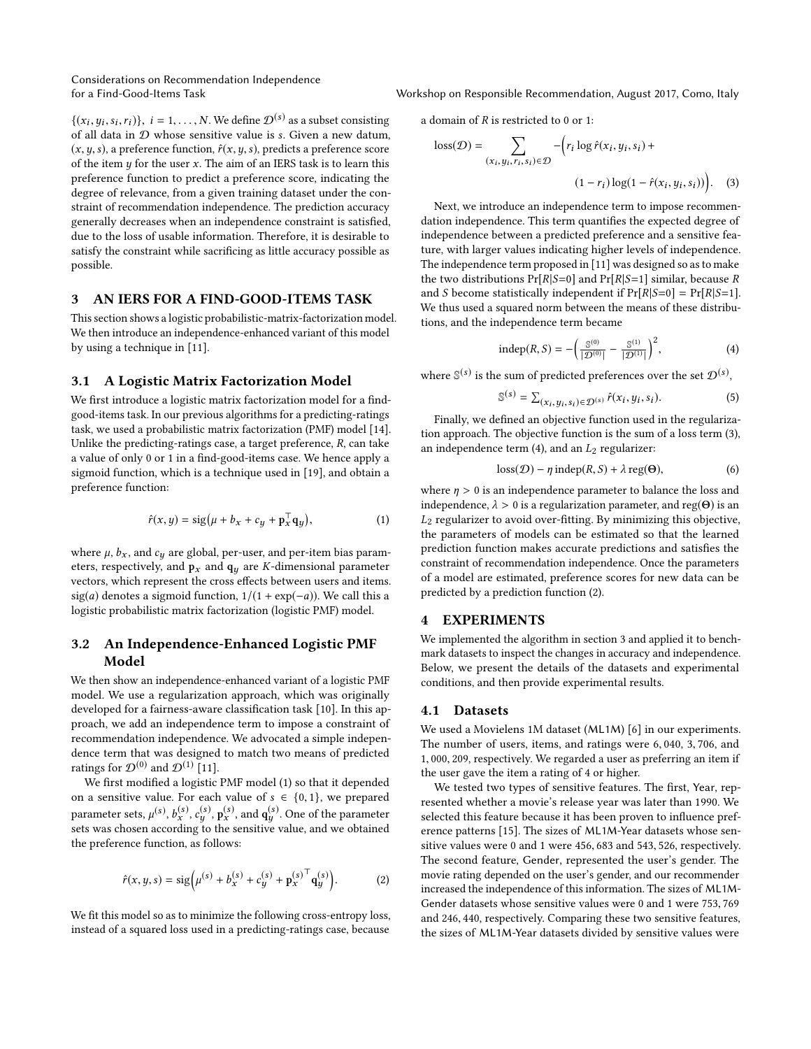Considerations on Recommendation Independence

 $\{(x_i, y_i, s_i, r_i)\}, i = 1, \ldots, N$ . We define  $\mathcal{D}^{(s)}$  as a subset consisting of all data in  $\Omega$  whose sensitive value is s. Given a new datum  $\int f(x,y) \, dy = \int f(x,y) \, dy$  whose sensitive value is s. Given a new datum,<br>(x u c) a preference function  $\hat{f}(x, y, c)$  predicts a preference score  $(x, y, s)$ , a preference function,  $\hat{r}(x, y, s)$ , predicts a preference score of the item  $y$  for the user  $x$ . The aim of an IERS task is to learn this preference function to predict a preference score, indicating the degree of relevance, from a given training dataset under the constraint of recommendation independence. The prediction accuracy generally decreases when an independence constraint is satisfied, due to the loss of usable information. Therefore, it is desirable to satisfy the constraint while sacrificing as little accuracy possible as possible.

# <span id="page-2-0"></span>3 AN IERS FOR A FIND-GOOD-ITEMS TASK

This section shows a logistic probabilistic-matrix-factorization model. We then introduce an independence-enhanced variant of this model by using a technique in [\[11\]](#page-5-7).

#### 3.1 A Logistic Matrix Factorization Model

We first introduce a logistic matrix factorization model for a findgood-items task. In our previous algorithms for a predicting-ratings task, we used a probabilistic matrix factorization (PMF) model [\[14\]](#page-5-16). Unlike the predicting-ratings case, a target preference,  $R$ , can take a value of only 0 or 1 in a find-good-items case. We hence apply a sigmoid function, which is a technique used in [\[19\]](#page-5-17), and obtain a preference function:

<span id="page-2-2"></span>
$$
\hat{r}(x,y) = \text{sig}\big(\mu + b_x + c_y + \mathbf{p}_x^\top \mathbf{q}_y\big),\tag{1}
$$

where  $\mu$ ,  $b_x$ , and  $c_y$  are global, per-user, and per-item bias parameters, respectively, and  $\mathbf{p}_x$  and  $\mathbf{q}_y$  are *K*-dimensional parameter vectors, which represent the cross effects between users and items. sig(a) denotes a sigmoid function,  $1/(1 + \exp(-a))$ . We call this a logistic probabilistic matrix factorization (logistic PMF) model.

# 3.2 An Independence-Enhanced Logistic PMF Model

We then show an independence-enhanced variant of a logistic PMF model. We use a regularization approach, which was originally developed for a fairness-aware classification task [\[10\]](#page-5-18). In this approach, we add an independence term to impose a constraint of recommendation independence. We advocated a simple independence term that was designed to match two means of predicted ratings for  $\mathcal{D}^{(0)}$  and  $\mathcal{D}^{(1)}$  [\[11\]](#page-5-7).

We first modified a logistic PMF model [\(1\)](#page-2-2) so that it depended on a sensitive value. For each value of  $s \in \{0, 1\}$ , we prepared parameter sets,  $\mu^{(s)}$ ,  $b_s^{(s)}$ ,  $c_g^{(s)}$ ,  $p_s^{(s)}$ , and  $\mathbf{q}_g^{(s)}$ . One of the parameter<br>sets was chosen according to the sensitive value, and we obtained sets was chosen according to the sensitive value, and we obtained the preference function, as follows:

<span id="page-2-5"></span>
$$
\hat{r}(x, y, s) = \text{sig}\left(\mu^{(s)} + b_x^{(s)} + c_y^{(s)} + \mathbf{p}_x^{(s)\top} \mathbf{q}_y^{(s)}\right).
$$
 (2)

We fit this model so as to minimize the following cross-entropy loss, instead of a squared loss used in a predicting-ratings case, because

for a Find-Good-Items Task Workshop on Responsible Recommendation, August 2017, Como, Italy

a domain of R is restricted to <sup>0</sup> or 1:

$$
loss(\mathcal{D}) = \sum_{(x_i, y_i, r_i, s_i) \in \mathcal{D}} -\left(r_i \log \hat{r}(x_i, y_i, s_i) + \frac{(x_i - x_i) \log(1 - \hat{r}(x_i, y_i, s_i))}{\log(1 - \hat{r}(x_i, y_i, s_i))}\right).
$$
 (3)

Next, we introduce an independence term to impose recommendation independence. This term quantifies the expected degree of independence between a predicted preference and a sensitive feature, with larger values indicating higher levels of independence. The independence term proposed in [\[11\]](#page-5-7) was designed so as to make the two distributions  $Pr[R|S=0]$  and  $Pr[R|S=1]$  similar, because R and S become statistically independent if  $Pr[R|S=0] = Pr[R|S=1]$ . We thus used a squared norm between the means of these distributions, and the independence term became

<span id="page-2-4"></span><span id="page-2-3"></span>indep(R, S) = 
$$
-\left(\frac{\mathbb{S}^{(0)}}{|\mathcal{D}^{(0)}|} - \frac{\mathbb{S}^{(1)}}{|\mathcal{D}^{(1)}|}\right)^2
$$
, (4)

where  $\mathbb{S}^{(s)}$  is the sum of predicted preferences over the set  $\mathcal{D}^{(s)},$ 

$$
\mathbb{S}^{(s)} = \sum_{(x_i, y_i, s_i) \in \mathcal{D}^{(s)}} \hat{r}(x_i, y_i, s_i). \tag{5}
$$

Finally, we defined an objective function used in the regularization approach. The objective function is the sum of a loss term [\(3\)](#page-2-3), an independence term  $(4)$ , and an  $L_2$  regularizer:

$$
loss(D) - \eta \operatorname{indep}(R, S) + \lambda \operatorname{reg}(\Theta),\tag{6}
$$

where  $\eta > 0$  is an independence parameter to balance the loss and independence,  $\lambda > 0$  is a regularization parameter, and reg(Θ) is an  $L_2$  regularizer to avoid over-fitting. By minimizing this objective, the parameters of models can be estimated so that the learned prediction function makes accurate predictions and satisfies the constraint of recommendation independence. Once the parameters of a model are estimated, preference scores for new data can be predicted by a prediction function [\(2\)](#page-2-5).

#### <span id="page-2-1"></span>4 EXPERIMENTS

We implemented the algorithm in section [3](#page-2-0) and applied it to benchmark datasets to inspect the changes in accuracy and independence. Below, we present the details of the datasets and experimental conditions, and then provide experimental results.

#### <span id="page-2-6"></span>4.1 Datasets

We used a Movielens 1M dataset (ML1M) [\[6\]](#page-5-19) in our experiments. The number of users, items, and ratings were <sup>6</sup>, 040, <sup>3</sup>, 706, and <sup>1</sup>, <sup>000</sup>, 209, respectively. We regarded a user as preferring an item if the user gave the item a rating of 4 or higher.

We tested two types of sensitive features. The first, Year, represented whether a movie's release year was later than 1990. We selected this feature because it has been proven to influence preference patterns [\[15\]](#page-5-20). The sizes of ML1M-Year datasets whose sensitive values were <sup>0</sup> and <sup>1</sup> were <sup>456</sup>, <sup>683</sup> and <sup>543</sup>, 526, respectively. The second feature, Gender, represented the user's gender. The movie rating depended on the user's gender, and our recommender increased the independence of this information. The sizes of ML1M-Gender datasets whose sensitive values were <sup>0</sup> and <sup>1</sup> were <sup>753</sup>, <sup>769</sup> and <sup>246</sup>, 440, respectively. Comparing these two sensitive features, the sizes of ML1M-Year datasets divided by sensitive values were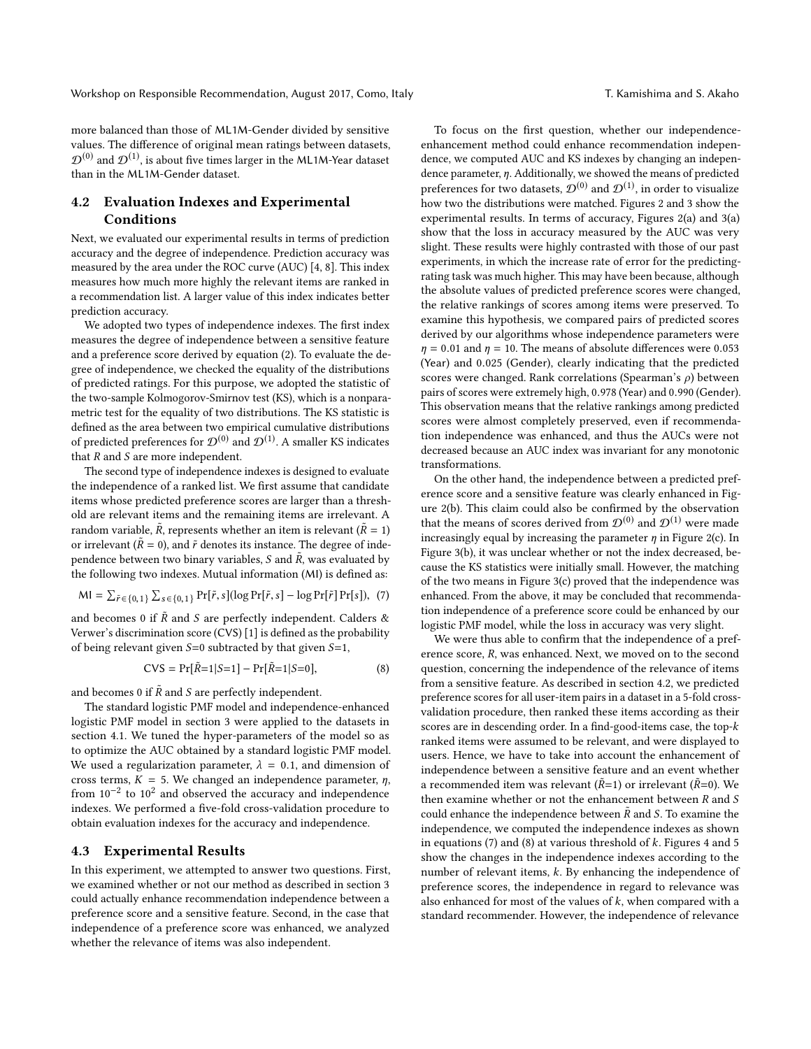more balanced than those of ML1M-Gender divided by sensitive values. The difference of original mean ratings between datasets,  $\mathcal{D}^{(0)}$  and  $\mathcal{D}^{(1)}$ , is about five times larger in the ML1M-Year dataset than in the ML1M-Gender dataset.

# <span id="page-3-0"></span>4.2 Evaluation Indexes and Experimental Conditions

Next, we evaluated our experimental results in terms of prediction accuracy and the degree of independence. Prediction accuracy was measured by the area under the ROC curve (AUC) [\[4,](#page-5-10) [8\]](#page-5-11). This index measures how much more highly the relevant items are ranked in a recommendation list. A larger value of this index indicates better prediction accuracy.

We adopted two types of independence indexes. The first index measures the degree of independence between a sensitive feature and a preference score derived by equation [\(2\)](#page-2-5). To evaluate the degree of independence, we checked the equality of the distributions of predicted ratings. For this purpose, we adopted the statistic of the two-sample Kolmogorov-Smirnov test (KS), which is a nonparametric test for the equality of two distributions. The KS statistic is defined as the area between two empirical cumulative distributions of predicted preferences for  $\mathcal{D}^{(0)}$  and  $\mathcal{D}^{(1)}$ . A smaller KS indicates that  $R$  and  $S$  are more independent.

The second type of independence indexes is designed to evaluate the independence of a ranked list. We first assume that candidate items whose predicted preference scores are larger than a threshold are relevant items and the remaining items are irrelevant. A random variable,  $\tilde{R}$ , represents whether an item is relevant ( $\tilde{R} = 1$ )<br>or irrelevant ( $\tilde{R} = 0$ ), and  $\tilde{r}$  denotes its instance. The degree of indeor irrelevant ( $\tilde{R} = 0$ ), and  $\tilde{r}$  denotes its instance. The degree of independence between two binary variables,  $S$  and  $\tilde{R}$ , was evaluated by<br>the following two indexes. Mutual information (MI) is defined as: the following two indexes. Mutual information (MI) is defined as:

$$
MI = \sum_{\tilde{r} \in \{0,1\}} \sum_{s \in \{0,1\}} Pr[\tilde{r}, s] (\log Pr[\tilde{r}, s] - \log Pr[\tilde{r}] Pr[s]), \tag{7}
$$

and becomes 0 if  $\tilde{R}$  and S are perfectly independent. Calders & Verwer's discrimination score (CVS) [\[1\]](#page-5-21) is defined as the probability of being relevant given  $S=0$  subtracted by that given  $S=1$ ,

$$
CVS = Pr[\tilde{R}=1|S=1] - Pr[\tilde{R}=1|S=0],
$$
\n(8)

and becomes 0 if  $\tilde{R}$  and S are perfectly independent.

The standard logistic PMF model and independence-enhanced logistic PMF model in section [3](#page-2-0) were applied to the datasets in section [4.1.](#page-2-6) We tuned the hyper-parameters of the model so as to optimize the AUC obtained by a standard logistic PMF model. We used a regularization parameter,  $\lambda = 0.1$ , and dimension of cross terms,  $K = 5$ . We changed an independence parameter,  $\eta$ , from 10<sup>-2</sup> to 10<sup>2</sup> and observed the accuracy and independence indexes. We performed a five-fold cross-validation procedure to obtain evaluation indexes for the accuracy and independence.

#### 4.3 Experimental Results

In this experiment, we attempted to answer two questions. First, we examined whether or not our method as described in section [3](#page-2-0) could actually enhance recommendation independence between a preference score and a sensitive feature. Second, in the case that independence of a preference score was enhanced, we analyzed whether the relevance of items was also independent.

To focus on the first question, whether our independenceenhancement method could enhance recommendation independence, we computed AUC and KS indexes by changing an independence parameter, η. Additionally, we showed the means of predicted preferences for two datasets,  $\mathcal{D}^{(0)}$  and  $\mathcal{D}^{(1)},$  in order to visualize how two the distributions were matched. Figures [2](#page-4-0) and [3](#page-4-1) show the experimental results. In terms of accuracy, Figures [2\(a\)](#page-4-0) and [3\(a\)](#page-4-1) show that the loss in accuracy measured by the AUC was very slight. These results were highly contrasted with those of our past experiments, in which the increase rate of error for the predictingrating task was much higher. This may have been because, although the absolute values of predicted preference scores were changed, the relative rankings of scores among items were preserved. To examine this hypothesis, we compared pairs of predicted scores derived by our algorithms whose independence parameters were  $\eta$  = 0.01 and  $\eta$  = 10. The means of absolute differences were 0.053 (Year) and <sup>0</sup>.<sup>025</sup> (Gender), clearly indicating that the predicted scores were changed. Rank correlations (Spearman's  $\rho$ ) between pairs of scores were extremely high, <sup>0</sup>.<sup>978</sup> (Year) and <sup>0</sup>.<sup>990</sup> (Gender). This observation means that the relative rankings among predicted scores were almost completely preserved, even if recommendation independence was enhanced, and thus the AUCs were not decreased because an AUC index was invariant for any monotonic transformations.

On the other hand, the independence between a predicted preference score and a sensitive feature was clearly enhanced in Figure [2\(b\).](#page-4-0) This claim could also be confirmed by the observation that the means of scores derived from  $\mathcal{D}^{(0)}$  and  $\mathcal{D}^{(1)}$  were made increasingly equal by increasing the parameter  $\eta$  in Figure [2\(c\).](#page-4-0) In Figure [3\(b\),](#page-4-1) it was unclear whether or not the index decreased, because the KS statistics were initially small. However, the matching of the two means in Figure [3\(c\)](#page-4-1) proved that the independence was enhanced. From the above, it may be concluded that recommendation independence of a preference score could be enhanced by our logistic PMF model, while the loss in accuracy was very slight.

<span id="page-3-2"></span><span id="page-3-1"></span>We were thus able to confirm that the independence of a preference score, R, was enhanced. Next, we moved on to the second question, concerning the independence of the relevance of items from a sensitive feature. As described in section [4.2,](#page-3-0) we predicted preference scores for all user-item pairs in a dataset in a 5-fold crossvalidation procedure, then ranked these items according as their scores are in descending order. In a find-good-items case, the top-k ranked items were assumed to be relevant, and were displayed to users. Hence, we have to take into account the enhancement of independence between a sensitive feature and an event whether a recommended item was relevant ( $\tilde{R}=1$ ) or irrelevant ( $\tilde{R}=0$ ). We then examine whether or not the enhancement between  $R$  and  $S$ could enhance the independence between  $\tilde{R}$  and S. To examine the independence, we computed the independence indexes as shown in equations [\(7\)](#page-3-1) and [\(8\)](#page-3-2) at various threshold of  $k$ . Figures [4](#page-4-2) and [5](#page-4-3) show the changes in the independence indexes according to the number of relevant items, k. By enhancing the independence of preference scores, the independence in regard to relevance was also enhanced for most of the values of  $k$ , when compared with a standard recommender. However, the independence of relevance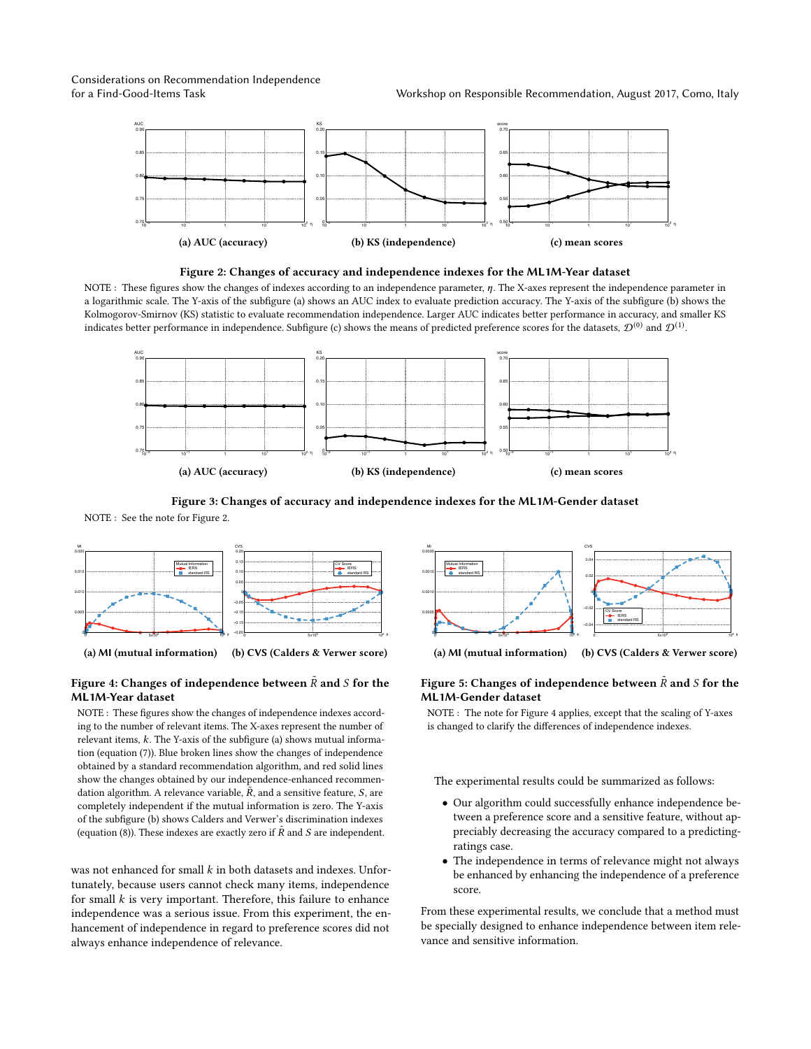<span id="page-4-0"></span>Considerations on Recommendation Independence





NOTE : These figures show the changes of indexes according to an independence parameter, η. The X-axes represent the independence parameter in a logarithmic scale. The Y-axis of the subfigure [\(a\)](#page-4-0) shows an AUC index to evaluate prediction accuracy. The Y-axis of the subfigure [\(b\)](#page-4-0) shows the Kolmogorov-Smirnov (KS) statistic to evaluate recommendation independence. Larger AUC indicates better performance in accuracy, and smaller KS indicates better performance in independence. Subfigure [\(c\)](#page-4-0) shows the means of predicted preference scores for the datasets,  ${\cal D}^{(0)}$  and  ${\cal D}^{(1)}$ .

<span id="page-4-1"></span>

Figure 3: Changes of accuracy and independence indexes for the ML1M-Gender dataset

NOTE : See the note for Figure [2.](#page-4-0)

<span id="page-4-2"></span>

(a) MI (mutual information)

# Figure 4: Changes of independence between  $\tilde{R}$  and  $S$  for the ML1M-Year dataset

NOTE : These figures show the changes of independence indexes according to the number of relevant items. The X-axes represent the number of relevant items, k. The Y-axis of the subfigure [\(a\)](#page-4-2) shows mutual information (equation [\(7\)](#page-3-1)). Blue broken lines show the changes of independence obtained by a standard recommendation algorithm, and red solid lines show the changes obtained by our independence-enhanced recommendation algorithm. A relevance variable,  $\tilde{R}$ , and a sensitive feature,  $S$ , are<br>completely independent if the mutual information is zero. The Y-axis completely independent if the mutual information is zero. The Y-axis of the subfigure [\(b\)](#page-4-2) shows Calders and Verwer's discrimination indexes (equation [\(8\)](#page-3-2)). These indexes are exactly zero if  $\tilde{R}$  and S are independent.

was not enhanced for small  $k$  in both datasets and indexes. Unfortunately, because users cannot check many items, independence for small  $k$  is very important. Therefore, this failure to enhance independence was a serious issue. From this experiment, the enhancement of independence in regard to preference scores did not always enhance independence of relevance.

<span id="page-4-3"></span>

(a) MI (mutual information) (b) CVS (Calders & Verwer score)

#### Figure 5: Changes of independence between  $\tilde{R}$  and S for the ML1M-Gender dataset

NOTE : The note for Figure [4](#page-4-2) applies, except that the scaling of Y-axes is changed to clarify the differences of independence indexes.

The experimental results could be summarized as follows:

- Our algorithm could successfully enhance independence between a preference score and a sensitive feature, without appreciably decreasing the accuracy compared to a predictingratings case.
- The independence in terms of relevance might not always be enhanced by enhancing the independence of a preference score.

From these experimental results, we conclude that a method must be specially designed to enhance independence between item relevance and sensitive information.